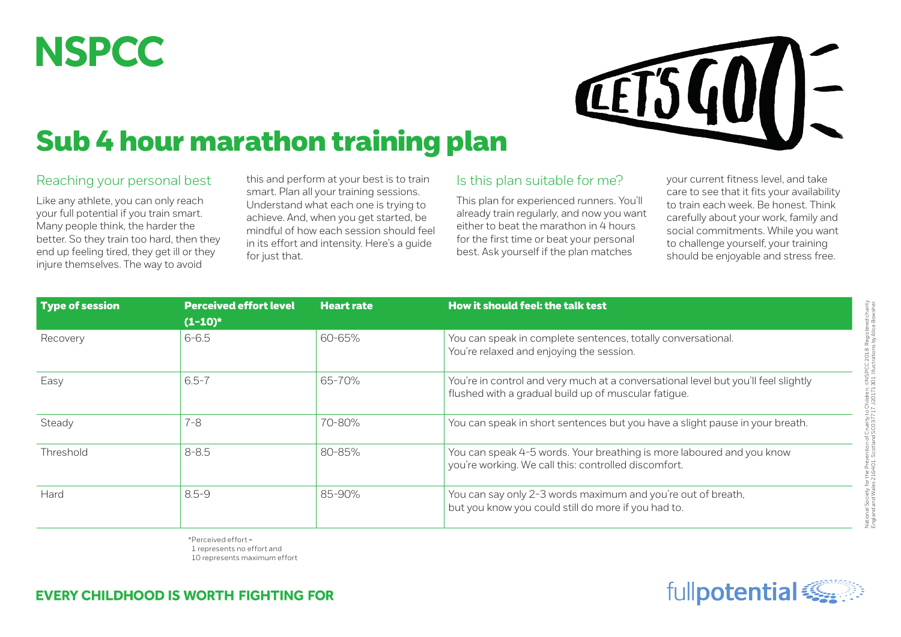## **NSPCC**



## Sub 4 hour marathon training plan

## Reaching your personal best

Like any athlete, you can only reach your full potential if you train smart. Many people think, the harder the better. So they train too hard, then they end up feeling tired, they get ill or they injure themselves. The way to avoid

this and perform at your best is to train smart. Plan all your training sessions. Understand what each one is trying to achieve. And, when you get started, be mindful of how each session should feel in its effort and intensity. Here's a guide for just that.

## Is this plan suitable for me?

This plan for experienced runners. You'll already train regularly, and now you want either to beat the marathon in 4 hours for the first time or beat your personal best. Ask yourself if the plan matches

your current fitness level, and take care to see that it fits your availability to train each week. Be honest. Think carefully about your work, family and social commitments. While you want to challenge yourself, your training should be enjoyable and stress free.

| <b>Type of session</b> | <b>Perceived effort level</b><br>$(1-10)^*$ | <b>Heart rate</b>                                                                                                  | How it should feel: the talk test                                                                                                          |  |  |
|------------------------|---------------------------------------------|--------------------------------------------------------------------------------------------------------------------|--------------------------------------------------------------------------------------------------------------------------------------------|--|--|
| Recovery               | $6 - 6.5$                                   | 60-65%<br>You can speak in complete sentences, totally conversational.<br>You're relaxed and enjoying the session. |                                                                                                                                            |  |  |
| Easy                   | $6.5 - 7$                                   | 65-70%                                                                                                             | You're in control and very much at a conversational level but you'll feel slightly<br>flushed with a gradual build up of muscular fatique. |  |  |
| Steady                 | $7 - 8$                                     | 70-80%                                                                                                             | You can speak in short sentences but you have a slight pause in your breath.                                                               |  |  |
| Threshold              | $8 - 8.5$                                   | 80-85%                                                                                                             | You can speak 4-5 words. Your breathing is more laboured and you know<br>you're working. We call this: controlled discomfort.              |  |  |
| Hard                   | $8.5 - 9$                                   | 85-90%                                                                                                             | You can say only 2-3 words maximum and you're out of breath,<br>but you know you could still do more if you had to.                        |  |  |

\*Perceived effort = 1 represents no effort and 10 represents maximum effort

**EVERY CHILDHOOD IS WORTH FIGHTING FOR** 

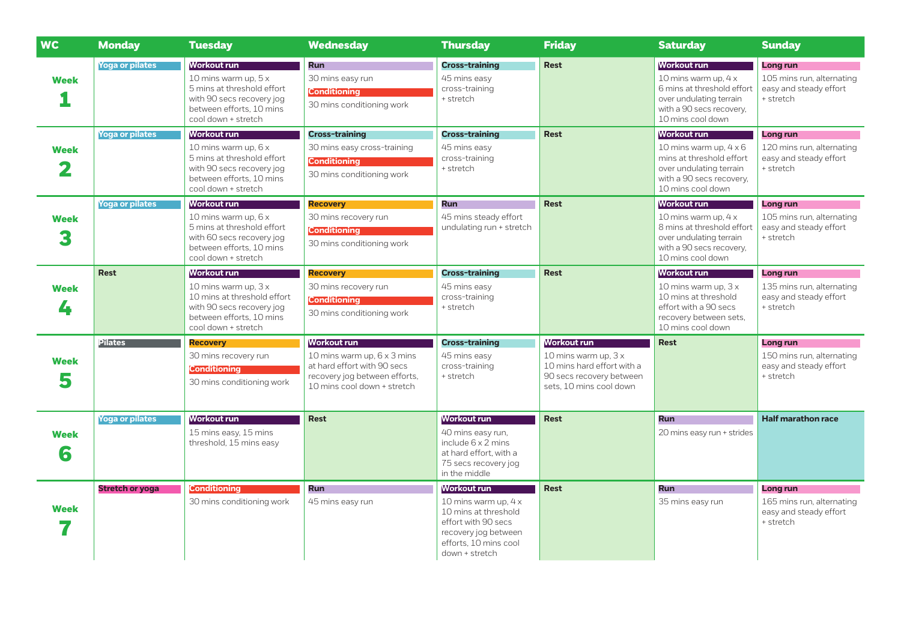| <b>WC</b>        | <b>Monday</b>          | <b>Tuesday</b>                                                                                                                                             | <b>Wednesday</b>                                                                                                                                 | <b>Thursday</b>                                                                                                                                       | <b>Friday</b>                                                                                                                    | <b>Saturday</b>                                                                                                                                             | <b>Sunday</b>                                                                |
|------------------|------------------------|------------------------------------------------------------------------------------------------------------------------------------------------------------|--------------------------------------------------------------------------------------------------------------------------------------------------|-------------------------------------------------------------------------------------------------------------------------------------------------------|----------------------------------------------------------------------------------------------------------------------------------|-------------------------------------------------------------------------------------------------------------------------------------------------------------|------------------------------------------------------------------------------|
| <b>Week</b>      | <b>Yoga or pilates</b> | <b>Workout run</b><br>10 mins warm up, 5 x<br>5 mins at threshold effort<br>with 90 secs recovery jog<br>between efforts, 10 mins<br>cool down + stretch   | <b>Run</b><br>30 mins easy run<br><b>Conditioning</b><br>30 mins conditioning work                                                               | <b>Cross-training</b><br>45 mins easy<br>cross-training<br>+ stretch                                                                                  | <b>Rest</b>                                                                                                                      | <b>Workout run</b><br>10 mins warm up, $4 \times$<br>6 mins at threshold effort<br>over undulating terrain<br>with a 90 secs recovery,<br>10 mins cool down | Long run<br>105 mins run, alternating<br>easy and steady effort<br>+ stretch |
| <b>Week</b>      | <b>Yoga or pilates</b> | Workout run<br>10 mins warm up, 6 x<br>5 mins at threshold effort<br>with 90 secs recovery jog<br>between efforts, 10 mins<br>cool down + stretch          | <b>Cross-training</b><br>30 mins easy cross-training<br><b>Conditioning</b><br>30 mins conditioning work                                         | <b>Cross-training</b><br>45 mins easy<br>cross-training<br>+ stretch                                                                                  | <b>Rest</b>                                                                                                                      | <b>Workout run</b><br>10 mins warm up, $4 \times 6$<br>mins at threshold effort<br>over undulating terrain<br>with a 90 secs recovery,<br>10 mins cool down | Long run<br>120 mins run, alternating<br>easy and steady effort<br>+ stretch |
| <b>Week</b>      | <b>Yoga or pilates</b> | <b>Workout run</b><br>10 mins warm up, 6 x<br>5 mins at threshold effort<br>with 60 secs recovery jog<br>between efforts, 10 mins<br>cool down + stretch   | <b>Recovery</b><br>30 mins recovery run<br><b>Conditioning</b><br>30 mins conditioning work                                                      | <b>Run</b><br>45 mins steady effort<br>undulating run + stretch                                                                                       | <b>Rest</b>                                                                                                                      | <b>Workout run</b><br>10 mins warm up, $4 \times$<br>8 mins at threshold effort<br>over undulating terrain<br>with a 90 secs recovery,<br>10 mins cool down | Long run<br>105 mins run, alternating<br>easy and steady effort<br>+ stretch |
| <b>Week</b><br>4 | <b>Rest</b>            | <b>Workout run</b><br>10 mins warm up, $3x$<br>10 mins at threshold effort<br>with 90 secs recovery jog<br>between efforts, 10 mins<br>cool down + stretch | <b>Recovery</b><br>30 mins recovery run<br><b>Conditioning</b><br>30 mins conditioning work                                                      | <b>Cross-training</b><br>45 mins easy<br>cross-training<br>+ stretch                                                                                  | <b>Rest</b>                                                                                                                      | <b>Workout run</b><br>10 mins warm up, $3x$<br>10 mins at threshold<br>effort with a 90 secs<br>recovery between sets,<br>10 mins cool down                 | Long run<br>135 mins run, alternating<br>easy and steady effort<br>+ stretch |
| <b>Week</b><br>5 | <b>Pilates</b>         | <b>Recovery</b><br>30 mins recovery run<br><b>Conditioning</b><br>30 mins conditioning work                                                                | <b>Workout run</b><br>10 mins warm up, 6 x 3 mins<br>at hard effort with 90 secs<br>recovery jog between efforts,<br>10 mins cool down + stretch | <b>Cross-training</b><br>45 mins easy<br>cross-training<br>+ stretch                                                                                  | <b>Workout run</b><br>10 mins warm up, $3x$<br>10 mins hard effort with a<br>90 secs recovery between<br>sets, 10 mins cool down | <b>Rest</b>                                                                                                                                                 | Long run<br>150 mins run, alternating<br>easy and steady effort<br>+ stretch |
| <b>Week</b><br>6 | <b>Yoga or pilates</b> | <b>Workout run</b><br>15 mins easy, 15 mins<br>threshold, 15 mins easy                                                                                     | <b>Rest</b>                                                                                                                                      | <b>Workout run</b><br>40 mins easy run,<br>include $6 \times 2$ mins<br>at hard effort, with a<br>75 secs recovery jog<br>in the middle               | <b>Rest</b>                                                                                                                      | <b>Run</b><br>20 mins easy run + strides                                                                                                                    | <b>Half marathon race</b>                                                    |
| <b>Week</b>      | <b>Stretch or yoga</b> | <b>Conditioning</b><br>30 mins conditioning work                                                                                                           | <b>Run</b><br>45 mins easy run                                                                                                                   | Workout run<br>10 mins warm up, 4 x<br>10 mins at threshold<br>effort with 90 secs<br>recovery jog between<br>efforts, 10 mins cool<br>down + stretch | <b>Rest</b>                                                                                                                      | Run<br>35 mins easy run                                                                                                                                     | Long run<br>165 mins run, alternating<br>easy and steady effort<br>+ stretch |